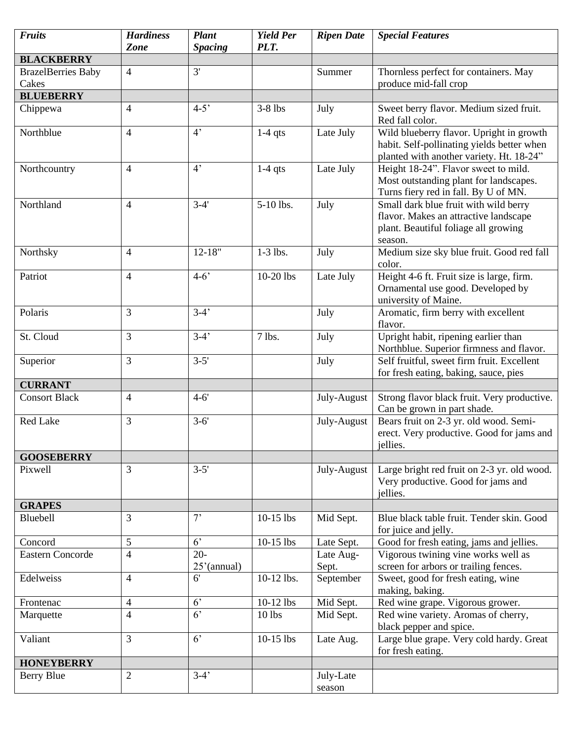| <b>Fruits</b>             | <b>Hardiness</b><br>Zone | <b>Plant</b>             | <b>Yield Per</b><br>PLT. | <b>Ripen Date</b>   | <b>Special Features</b>                                                                                                            |
|---------------------------|--------------------------|--------------------------|--------------------------|---------------------|------------------------------------------------------------------------------------------------------------------------------------|
| <b>BLACKBERRY</b>         |                          | <b>Spacing</b>           |                          |                     |                                                                                                                                    |
| <b>BrazelBerries Baby</b> | $\overline{4}$           | 3'                       |                          | Summer              | Thornless perfect for containers. May                                                                                              |
| Cakes                     |                          |                          |                          |                     | produce mid-fall crop                                                                                                              |
| <b>BLUEBERRY</b>          |                          |                          |                          |                     |                                                                                                                                    |
| Chippewa                  | $\overline{4}$           | $4 - 5'$                 | $3-8$ lbs                | July                | Sweet berry flavor. Medium sized fruit.<br>Red fall color.                                                                         |
| Northblue                 | $\overline{4}$           | 4 <sup>2</sup>           | $1-4$ qts                | Late July           | Wild blueberry flavor. Upright in growth<br>habit. Self-pollinating yields better when<br>planted with another variety. Ht. 18-24" |
| Northcountry              | $\overline{4}$           | 4 <sup>2</sup>           | $1-4$ qts                | Late July           | Height 18-24". Flavor sweet to mild.<br>Most outstanding plant for landscapes.<br>Turns fiery red in fall. By U of MN.             |
| Northland                 | $\overline{4}$           | $3-4'$                   | 5-10 lbs.                | July                | Small dark blue fruit with wild berry<br>flavor. Makes an attractive landscape<br>plant. Beautiful foliage all growing<br>season.  |
| Northsky                  | $\overline{4}$           | $12 - 18"$               | $1-3$ lbs.               | July                | Medium size sky blue fruit. Good red fall<br>color.                                                                                |
| Patriot                   | $\overline{4}$           | $4 - 6'$                 | 10-20 lbs                | Late July           | Height 4-6 ft. Fruit size is large, firm.<br>Ornamental use good. Developed by<br>university of Maine.                             |
| Polaris                   | $\overline{3}$           | $3-4'$                   |                          | July                | Aromatic, firm berry with excellent<br>flavor.                                                                                     |
| St. Cloud                 | $\overline{3}$           | $3-4'$                   | $7$ lbs.                 | July                | Upright habit, ripening earlier than<br>Northblue. Superior firmness and flavor.                                                   |
| Superior                  | $\overline{3}$           | $3 - 5'$                 |                          | July                | Self fruitful, sweet firm fruit. Excellent<br>for fresh eating, baking, sauce, pies                                                |
| <b>CURRANT</b>            |                          |                          |                          |                     |                                                                                                                                    |
| <b>Consort Black</b>      | $\overline{4}$           | $4-6'$                   |                          | July-August         | Strong flavor black fruit. Very productive.<br>Can be grown in part shade.                                                         |
| Red Lake                  | $\overline{3}$           | $3 - 6'$                 |                          | July-August         | Bears fruit on 2-3 yr. old wood. Semi-<br>erect. Very productive. Good for jams and<br>jellies.                                    |
| <b>GOOSEBERRY</b>         |                          |                          |                          |                     |                                                                                                                                    |
| Pixwell                   | 3                        | $3 - 5'$                 |                          | July-August         | Large bright red fruit on 2-3 yr. old wood.<br>Very productive. Good for jams and<br>jellies.                                      |
| <b>GRAPES</b>             |                          |                          |                          |                     |                                                                                                                                    |
| Bluebell                  | 3                        | 7'                       | $10-15$ lbs              | Mid Sept.           | Blue black table fruit. Tender skin. Good<br>for juice and jelly.                                                                  |
| Concord                   | 5                        | 6 <sup>2</sup>           | $10-15$ lbs              | Late Sept.          | Good for fresh eating, jams and jellies.                                                                                           |
| <b>Eastern Concorde</b>   | $\overline{4}$           | $20 -$<br>$25'$ (annual) |                          | Late Aug-<br>Sept.  | Vigorous twining vine works well as<br>screen for arbors or trailing fences.                                                       |
| Edelweiss                 | $\overline{4}$           | 6'                       | 10-12 lbs.               | September           | Sweet, good for fresh eating, wine<br>making, baking.                                                                              |
| Frontenac                 | $\overline{4}$           | 6 <sup>2</sup>           | 10-12 lbs                | Mid Sept.           | Red wine grape. Vigorous grower.                                                                                                   |
| Marquette                 | $\overline{4}$           | 6 <sup>2</sup>           | 10 lbs                   | Mid Sept.           | Red wine variety. Aromas of cherry,<br>black pepper and spice.                                                                     |
| Valiant                   | $\overline{3}$           | 6 <sup>2</sup>           | $10-15$ lbs              | Late Aug.           | Large blue grape. Very cold hardy. Great<br>for fresh eating.                                                                      |
| <b>HONEYBERRY</b>         |                          |                          |                          |                     |                                                                                                                                    |
| <b>Berry Blue</b>         | $\overline{2}$           | $3-4'$                   |                          | July-Late<br>season |                                                                                                                                    |